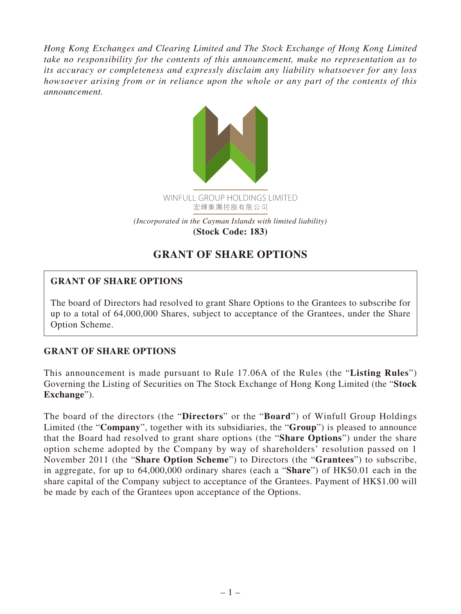*Hong Kong Exchanges and Clearing Limited and The Stock Exchange of Hong Kong Limited take no responsibility for the contents of this announcement, make no representation as to its accuracy or completeness and expressly disclaim any liability whatsoever for any loss howsoever arising from or in reliance upon the whole or any part of the contents of this announcement.*



## **GRANT OF SHARE OPTIONS**

## **GRANT OF SHARE OPTIONS**

The board of Directors had resolved to grant Share Options to the Grantees to subscribe for up to a total of 64,000,000 Shares, subject to acceptance of the Grantees, under the Share Option Scheme.

## **GRANT OF SHARE OPTIONS**

This announcement is made pursuant to Rule 17.06A of the Rules (the "**Listing Rules**") Governing the Listing of Securities on The Stock Exchange of Hong Kong Limited (the "**Stock Exchange**").

The board of the directors (the "**Directors**" or the "**Board**") of Winfull Group Holdings Limited (the "**Company**", together with its subsidiaries, the "**Group**") is pleased to announce that the Board had resolved to grant share options (the "**Share Options**") under the share option scheme adopted by the Company by way of shareholders' resolution passed on 1 November 2011 (the "**Share Option Scheme**") to Directors (the "**Grantees**") to subscribe, in aggregate, for up to 64,000,000 ordinary shares (each a "**Share**") of HK\$0.01 each in the share capital of the Company subject to acceptance of the Grantees. Payment of HK\$1.00 will be made by each of the Grantees upon acceptance of the Options.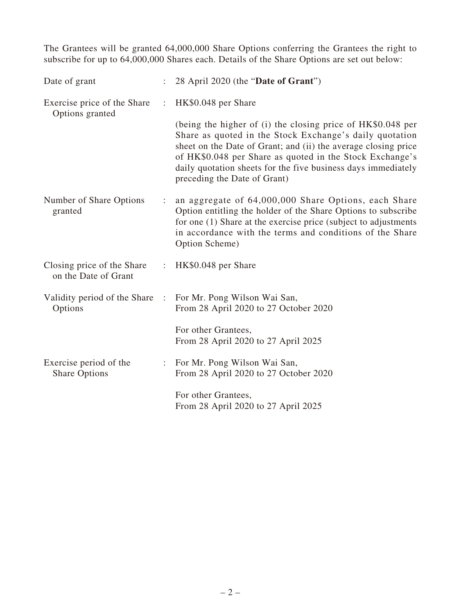The Grantees will be granted 64,000,000 Share Options conferring the Grantees the right to subscribe for up to 64,000,000 Shares each. Details of the Share Options are set out below:

| Date of grant                                      |   | 28 April 2020 (the "Date of Grant")                                                                                                                                                                                                                                                                                                                   |
|----------------------------------------------------|---|-------------------------------------------------------------------------------------------------------------------------------------------------------------------------------------------------------------------------------------------------------------------------------------------------------------------------------------------------------|
| Exercise price of the Share<br>Options granted     | ÷ | HK\$0.048 per Share                                                                                                                                                                                                                                                                                                                                   |
|                                                    |   | (being the higher of (i) the closing price of HK\$0.048 per<br>Share as quoted in the Stock Exchange's daily quotation<br>sheet on the Date of Grant; and (ii) the average closing price<br>of HK\$0.048 per Share as quoted in the Stock Exchange's<br>daily quotation sheets for the five business days immediately<br>preceding the Date of Grant) |
| Number of Share Options<br>granted                 | ÷ | an aggregate of 64,000,000 Share Options, each Share<br>Option entitling the holder of the Share Options to subscribe<br>for one (1) Share at the exercise price (subject to adjustments<br>in accordance with the terms and conditions of the Share<br>Option Scheme)                                                                                |
| Closing price of the Share<br>on the Date of Grant |   | : HK $$0.048$ per Share                                                                                                                                                                                                                                                                                                                               |
| Validity period of the Share :<br>Options          |   | For Mr. Pong Wilson Wai San,<br>From 28 April 2020 to 27 October 2020                                                                                                                                                                                                                                                                                 |
|                                                    |   | For other Grantees,<br>From 28 April 2020 to 27 April 2025                                                                                                                                                                                                                                                                                            |
| Exercise period of the<br><b>Share Options</b>     | ÷ | For Mr. Pong Wilson Wai San,<br>From 28 April 2020 to 27 October 2020                                                                                                                                                                                                                                                                                 |
|                                                    |   | For other Grantees,<br>From 28 April 2020 to 27 April 2025                                                                                                                                                                                                                                                                                            |